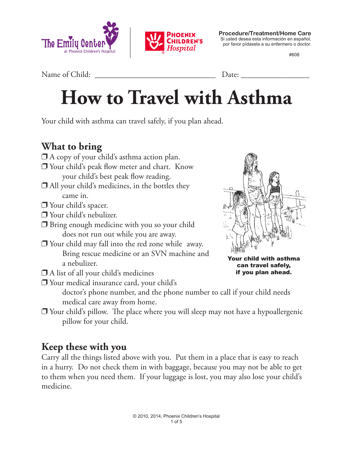



**Procedure/Treatment/Home Care** Si usted desea esta información en español, por favor pídasela a su enfermero o doctor.

#608

Name of Child: \_\_\_\_\_\_\_\_\_\_\_\_\_\_\_\_\_\_\_\_\_\_\_\_\_\_\_\_\_\_ Date: \_\_\_\_\_\_\_\_\_\_\_\_\_\_\_\_\_

# **How to Travel with Asthma**

Your child with asthma can travel safely, if you plan ahead.

#### **What to bring**

- $\Box$  A copy of your child's asthma action plan.
- $\Box$  Your child's peak flow meter and chart. Know your child's best peak flow reading.
- $\Box$  All your child's medicines, in the bottles they came in.
- $\square$  Your child's spacer.
- $\square$  Your child's nebulizer.
- $\Box$  Bring enough medicine with you so your child does not run out while you are away.
- $\Box$  Your child may fall into the red zone while away. Bring rescue medicine or an SVN machine and a nebulizer.
- $\Box$  A list of all your child's medicines
- $\square$  Your medical insurance card, your child's



Your child with asthma can travel safely, if you plan ahead.

doctor's phone number, and the phone number to call if your child needs medical care away from home.

 $\Box$  Your child's pillow. The place where you will sleep may not have a hypoallergenic pillow for your child.

#### **Keep these with you**

Carry all the things listed above with you. Put them in a place that is easy to reach in a hurry. Do not check them in with baggage, because you may not be able to get to them when you need them. If your luggage is lost, you may also lose your child's medicine.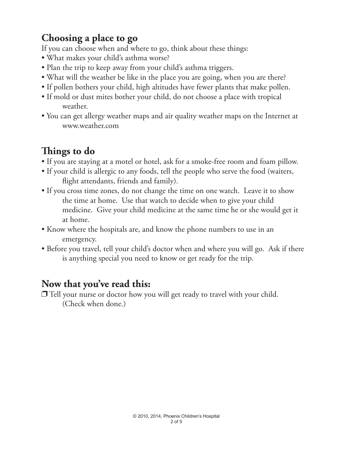#### **Choosing a place to go**

If you can choose when and where to go, think about these things:

- What makes your child's asthma worse?
- Plan the trip to keep away from your child's asthma triggers.
- What will the weather be like in the place you are going, when you are there?
- If pollen bothers your child, high altitudes have fewer plants that make pollen.
- If mold or dust mites bother your child, do not choose a place with tropical weather.
- You can get allergy weather maps and air quality weather maps on the Internet at www.weather.com

### **Things to do**

- If you are staying at a motel or hotel, ask for a smoke-free room and foam pillow.
- If your child is allergic to any foods, tell the people who serve the food (waiters, flight attendants, friends and family).
- If you cross time zones, do not change the time on one watch. Leave it to show the time at home. Use that watch to decide when to give your child medicine. Give your child medicine at the same time he or she would get it at home.
- Know where the hospitals are, and know the phone numbers to use in an emergency.
- Before you travel, tell your child's doctor when and where you will go. Ask if there is anything special you need to know or get ready for the trip.

#### **Now that you've read this:**

 $\Box$  Tell your nurse or doctor how you will get ready to travel with your child. (Check when done.)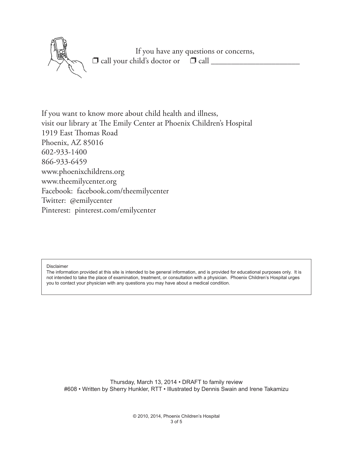If you have any questions or concerns,  $\Box$  call your child's doctor or  $\Box$  call  $\Box$ 

If you want to know more about child health and illness, visit our library at The Emily Center at Phoenix Children's Hospital 1919 East Thomas Road Phoenix, AZ 85016 602-933-1400 866-933-6459 www.phoenixchildrens.org www.theemilycenter.org Facebook: facebook.com/theemilycenter Twitter: @emilycenter Pinterest: pinterest.com/emilycenter

Disclaimer

The information provided at this site is intended to be general information, and is provided for educational purposes only. It is not intended to take the place of examination, treatment, or consultation with a physician. Phoenix Children's Hospital urges you to contact your physician with any questions you may have about a medical condition.

Thursday, March 13, 2014 • DRAFT to family review #608 • Written by Sherry Hunkler, RTT • Illustrated by Dennis Swain and Irene Takamizu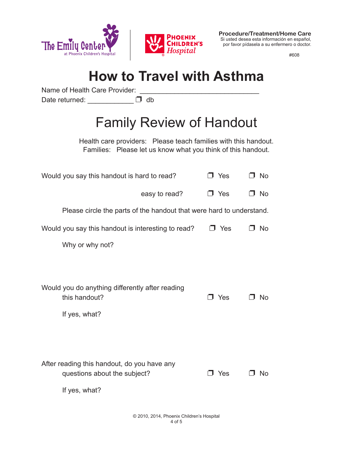



**Procedure/Treatment/Home Care** Si usted desea esta información en español, por favor pídasela a su enfermero o doctor.

#608

## **How to Travel with Asthma**

Name of Health Care Provider:

Date returned: \_\_\_\_\_\_\_\_\_\_\_\_ D db

## Family Review of Handout

Health care providers: Please teach families with this handout. Families: Please let us know what you think of this handout.

| Would you say this handout is hard to read?                                                  | J Yes      | J No |
|----------------------------------------------------------------------------------------------|------------|------|
| easy to read?                                                                                | J Yes      | No   |
| Please circle the parts of the handout that were hard to understand.                         |            |      |
| Would you say this handout is interesting to read?                                           | J Yes      | J No |
| Why or why not?                                                                              |            |      |
|                                                                                              |            |      |
| Would you do anything differently after reading<br>this handout?                             | $\Box$ Yes | N∩   |
| If yes, what?                                                                                |            |      |
|                                                                                              |            |      |
| After reading this handout, do you have any<br>questions about the subject?<br>If yes, what? | Yes        | No   |
|                                                                                              |            |      |